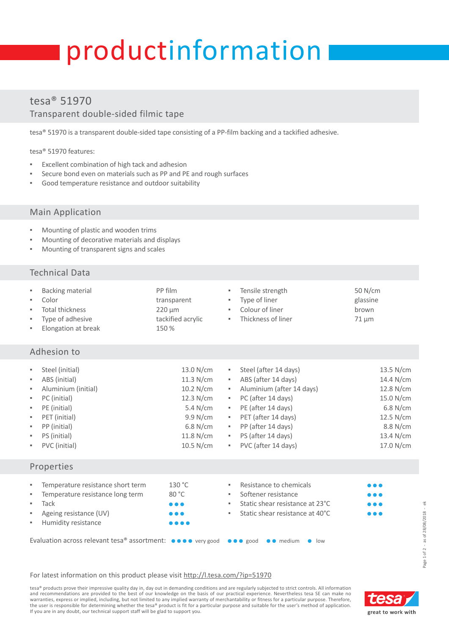# productinformation

## tesa® 51970 Transparent double-sided filmic tape

tesa® 51970 is a transparent double-sided tape consisting of a PP-film backing and a tackified adhesive.

tesa® 51970 features:

- **Excellent combination of high tack and adhesion**
- Secure bond even on materials such as PP and PE and rough surfaces
- Good temperature resistance and outdoor suitability

#### Main Application

- Mounting of plastic and wooden trims
- Mounting of decorative materials and displays
- Mounting of transparent signs and scales

#### Technical Data

| ٠<br>٠<br>٠<br>٠<br>٠                     | Backing material<br>Color<br><b>Total thickness</b><br>Type of adhesive<br>Elongation at break                                                            | PP film<br>٠<br>transparent<br>۰.<br>$220 \mu m$<br>×.<br>tackified acrylic<br>٠<br>150 %                                                                                                                                                                                                    | Tensile strength<br>Type of liner<br>Colour of liner<br>Thickness of liner                                                                                                                                      | 50 N/cm<br>glassine<br>brown<br>$71 \mu m$                                                                                    |  |  |  |  |
|-------------------------------------------|-----------------------------------------------------------------------------------------------------------------------------------------------------------|----------------------------------------------------------------------------------------------------------------------------------------------------------------------------------------------------------------------------------------------------------------------------------------------|-----------------------------------------------------------------------------------------------------------------------------------------------------------------------------------------------------------------|-------------------------------------------------------------------------------------------------------------------------------|--|--|--|--|
| Adhesion to                               |                                                                                                                                                           |                                                                                                                                                                                                                                                                                              |                                                                                                                                                                                                                 |                                                                                                                               |  |  |  |  |
| ٠<br>٠<br>×<br>×<br>×<br>×<br>×<br>×<br>٠ | Steel (initial)<br>ABS (initial)<br>Aluminium (initial)<br>PC (initial)<br>PE (initial)<br>PET (initial)<br>PP (initial)<br>PS (initial)<br>PVC (initial) | 13.0 N/cm<br>×.<br>$11.3$ N/cm<br>$\mathcal{H}_{\mathcal{A}}$<br>$10.2$ N/cm<br>$\mathbf{u}$<br>12.3 N/cm<br>×.<br>5.4 N/cm<br>×.<br>9.9 N/cm<br>$\mathcal{H}_{\mathcal{A}}$<br>$6.8$ N/cm<br>$\mathbf{H}_{\mathrm{eff}}$<br>$11.8$ N/cm<br>$\mathbf{H}_{\mathrm{eff}}$<br>$10.5$ N/cm<br>л. | Steel (after 14 days)<br>ABS (after 14 days)<br>Aluminium (after 14 days)<br>PC (after 14 days)<br>PE (after 14 days)<br>PET (after 14 days)<br>PP (after 14 days)<br>PS (after 14 days)<br>PVC (after 14 days) | $13.5$ N/cm<br>$14.4$ N/cm<br>$12.8$ N/cm<br>15.0 N/cm<br>$6.8$ N/cm<br>$12.5$ N/cm<br>8.8 N/cm<br>$13.4$ N/cm<br>$17.0$ N/cm |  |  |  |  |

#### Properties

| $\sim$      | Temperature resistance short term                                                                                                                              | 130 °C                         | ٠. | Resistance to chemicals         | $\bullet\bullet\bullet$ |
|-------------|----------------------------------------------------------------------------------------------------------------------------------------------------------------|--------------------------------|----|---------------------------------|-------------------------|
| <b>COLL</b> | Temperature resistance long term                                                                                                                               | 80 °C                          | ۰. | Softener resistance             | $\bullet\bullet\bullet$ |
| ж.          | Tack                                                                                                                                                           | $\bullet\bullet\bullet$        | ۰. | Static shear resistance at 23°C | $\bullet\bullet\bullet$ |
|             | $\blacksquare$ Ageing resistance (UV)                                                                                                                          | $\bullet\bullet\bullet$        | н. | Static shear resistance at 40°C | $\bullet\bullet\bullet$ |
|             | <b>Humidity resistance</b>                                                                                                                                     | $\bullet\bullet\bullet\bullet$ |    |                                 |                         |
|             | Evaluation across relevant tesa® assortment: $\bullet \bullet \bullet \bullet$ very good $\bullet \bullet \bullet$ good $\bullet \bullet$ medium $\bullet$ low |                                |    |                                 |                         |

#### For latest information on this product please visit [http://l.tesa.com/?ip=51970](http://l.tesa.com/?ip=51970&utm_source=tesa_pi-sheet&utm_medium=referral&utm_content=00000&utm_campaign=Industry_Products)

tesa® products prove their impressive quality day in, day out in demanding conditions and are regularly subjected to strict controls. All information and recommendations are provided to the best of our knowledge on the basis of our practical experience. Nevertheless tesa SE can make no warranties, express or implied, including, but not limited to any implied warranty of merchantability or fitness for a particular purpose. Therefore,<br>the user is responsible for determining whether the tesa® product is fit If you are in any doubt, our technical support staff will be glad to support you.